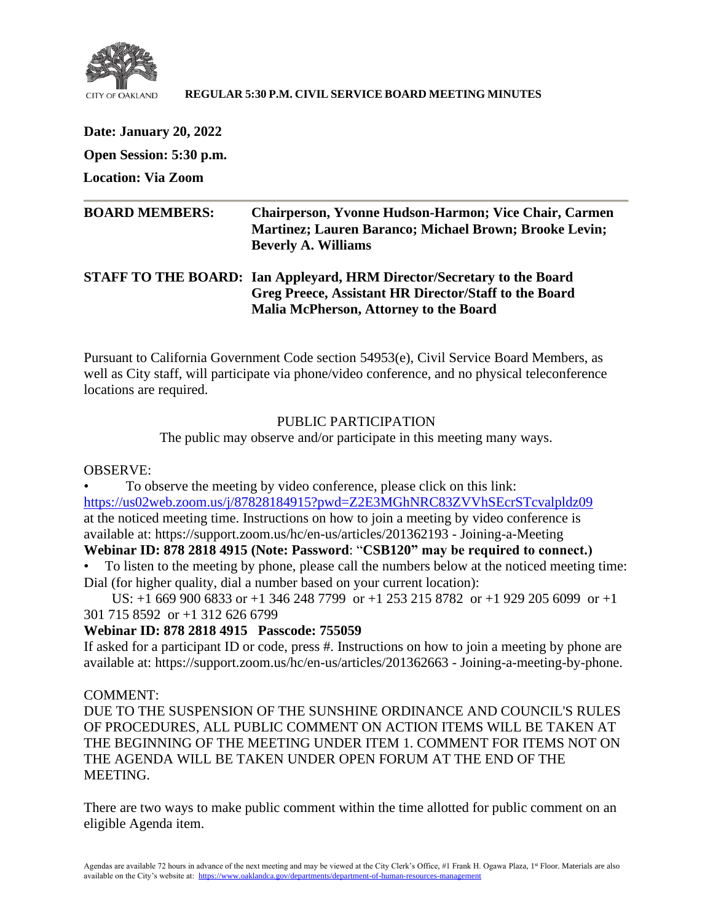

#### **REGULAR 5:30 P.M. CIVIL SERVICE BOARD MEETING MINUTES**

**Date: January 20, 2022 Open Session: 5:30 p.m.**

**Location: Via Zoom**

| <b>BOARD MEMBERS:</b> | <b>Chairperson, Yvonne Hudson-Harmon; Vice Chair, Carmen</b><br><b>Martinez</b> ; Lauren Baranco; Michael Brown; Brooke Levin;<br><b>Beverly A. Williams</b> |
|-----------------------|--------------------------------------------------------------------------------------------------------------------------------------------------------------|
|                       | STAFF TO THE BOARD: Ian Appleyard, HRM Director/Secretary to the Board                                                                                       |

**Greg Preece, Assistant HR Director/Staff to the Board Malia McPherson, Attorney to the Board**

Pursuant to California Government Code section 54953(e), Civil Service Board Members, as well as City staff, will participate via phone/video conference, and no physical teleconference locations are required.

# PUBLIC PARTICIPATION

The public may observe and/or participate in this meeting many ways.

# OBSERVE:

• To observe the meeting by video conference, please click on this link: <https://us02web.zoom.us/j/87828184915?pwd=Z2E3MGhNRC83ZVVhSEcrSTcvalpldz09> at the noticed meeting time. Instructions on how to join a meeting by video conference is available at: https://support.zoom.us/hc/en-us/articles/201362193 - Joining-a-Meeting

# **Webinar ID: 878 2818 4915 (Note: Password**: "**CSB120" may be required to connect.)**

• To listen to the meeting by phone, please call the numbers below at the noticed meeting time: Dial (for higher quality, dial a number based on your current location):

 US: +1 669 900 6833 or +1 346 248 7799 or +1 253 215 8782 or +1 929 205 6099 or +1 301 715 8592 or +1 312 626 6799

# **Webinar ID: 878 2818 4915 Passcode: 755059**

If asked for a participant ID or code, press #. Instructions on how to join a meeting by phone are available at: https://support.zoom.us/hc/en-us/articles/201362663 - Joining-a-meeting-by-phone.

# COMMENT:

DUE TO THE SUSPENSION OF THE SUNSHINE ORDINANCE AND COUNCIL'S RULES OF PROCEDURES, ALL PUBLIC COMMENT ON ACTION ITEMS WILL BE TAKEN AT THE BEGINNING OF THE MEETING UNDER ITEM 1. COMMENT FOR ITEMS NOT ON THE AGENDA WILL BE TAKEN UNDER OPEN FORUM AT THE END OF THE MEETING.

There are two ways to make public comment within the time allotted for public comment on an eligible Agenda item.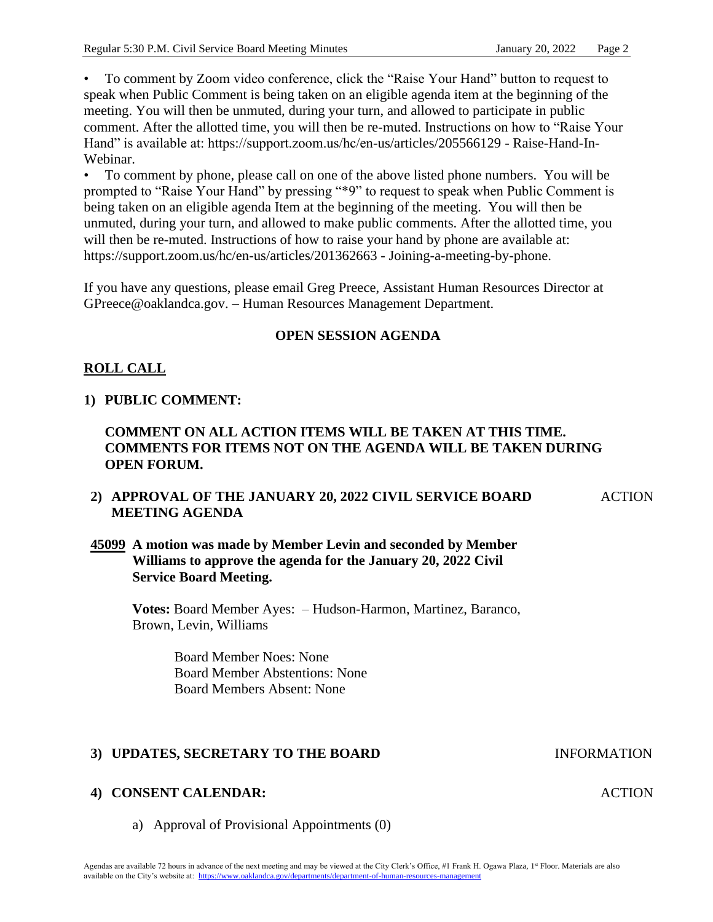• To comment by Zoom video conference, click the "Raise Your Hand" button to request to speak when Public Comment is being taken on an eligible agenda item at the beginning of the meeting. You will then be unmuted, during your turn, and allowed to participate in public comment. After the allotted time, you will then be re-muted. Instructions on how to "Raise Your Hand" is available at: https://support.zoom.us/hc/en-us/articles/205566129 - Raise-Hand-In-Webinar.

• To comment by phone, please call on one of the above listed phone numbers. You will be prompted to "Raise Your Hand" by pressing "\*9" to request to speak when Public Comment is being taken on an eligible agenda Item at the beginning of the meeting. You will then be unmuted, during your turn, and allowed to make public comments. After the allotted time, you will then be re-muted. Instructions of how to raise your hand by phone are available at: https://support.zoom.us/hc/en-us/articles/201362663 - Joining-a-meeting-by-phone.

If you have any questions, please email Greg Preece, Assistant Human Resources Director at GPreece@oaklandca.gov. – Human Resources Management Department.

# **OPEN SESSION AGENDA**

# **ROLL CALL**

# **1) PUBLIC COMMENT:**

# **COMMENT ON ALL ACTION ITEMS WILL BE TAKEN AT THIS TIME. COMMENTS FOR ITEMS NOT ON THE AGENDA WILL BE TAKEN DURING OPEN FORUM.**

# **2) APPROVAL OF THE JANUARY 20, 2022 CIVIL SERVICE BOARD MEETING AGENDA**

# **45099 A motion was made by Member Levin and seconded by Member Williams to approve the agenda for the January 20, 2022 Civil Service Board Meeting.**

**Votes:** Board Member Ayes: – Hudson-Harmon, Martinez, Baranco, Brown, Levin, Williams

> Board Member Noes: None Board Member Abstentions: None Board Members Absent: None

# **3) UPDATES, SECRETARY TO THE BOARD INFORMATION**

# **4) CONSENT CALENDAR:**

a) Approval of Provisional Appointments (0)

**ACTION** 

ACTION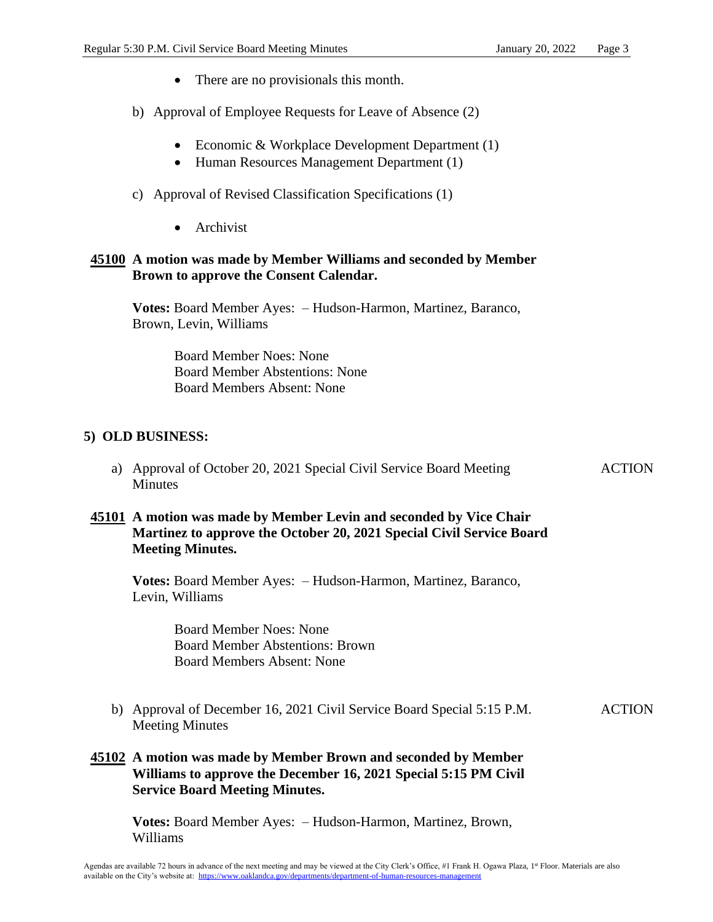- There are no provisionals this month.
- b) Approval of Employee Requests for Leave of Absence (2)
	- Economic & Workplace Development Department (1)
	- Human Resources Management Department (1)
- c) Approval of Revised Classification Specifications (1)
	- Archivist

#### **45100 A motion was made by Member Williams and seconded by Member Brown to approve the Consent Calendar.**

**Votes:** Board Member Ayes: – Hudson-Harmon, Martinez, Baranco, Brown, Levin, Williams

> Board Member Noes: None Board Member Abstentions: None Board Members Absent: None

# **5) OLD BUSINESS:**

a) Approval of October 20, 2021 Special Civil Service Board Meeting **Minutes** ACTION

# **45101 A motion was made by Member Levin and seconded by Vice Chair Martinez to approve the October 20, 2021 Special Civil Service Board Meeting Minutes.**

**Votes:** Board Member Ayes: – Hudson-Harmon, Martinez, Baranco, Levin, Williams

> Board Member Noes: None Board Member Abstentions: Brown Board Members Absent: None

b) Approval of December 16, 2021 Civil Service Board Special 5:15 P.M. Meeting Minutes ACTION

# **45102 A motion was made by Member Brown and seconded by Member Williams to approve the December 16, 2021 Special 5:15 PM Civil Service Board Meeting Minutes.**

**Votes:** Board Member Ayes: – Hudson-Harmon, Martinez, Brown, Williams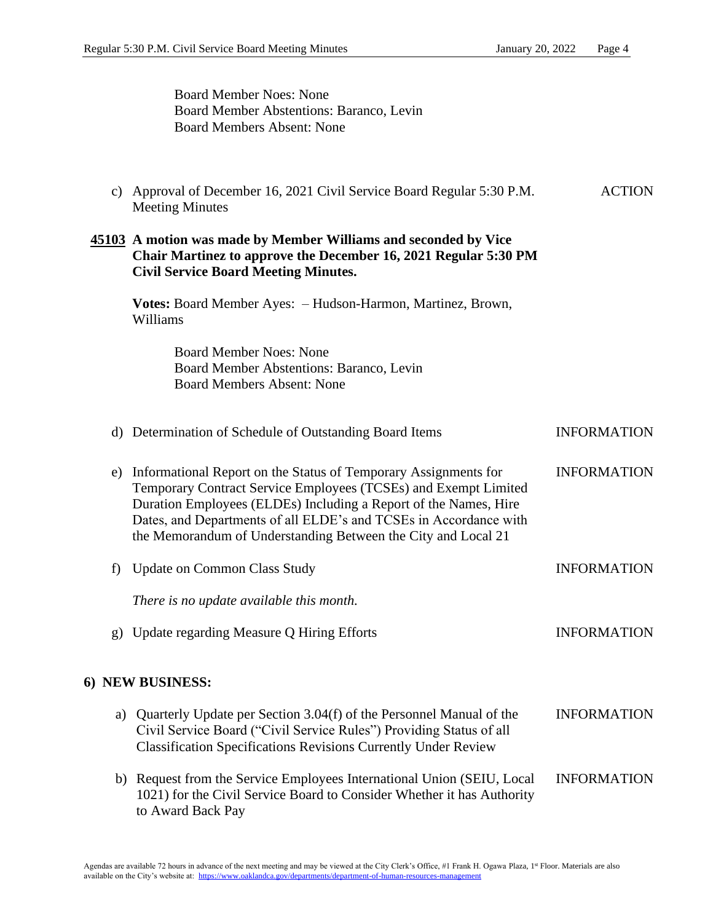Board Member Noes: None Board Member Abstentions: Baranco, Levin Board Members Absent: None c) Approval of December 16, 2021 Civil Service Board Regular 5:30 P.M. Meeting Minutes **ACTION 45103 A motion was made by Member Williams and seconded by Vice Chair Martinez to approve the December 16, 2021 Regular 5:30 PM Civil Service Board Meeting Minutes. Votes:** Board Member Ayes: – Hudson-Harmon, Martinez, Brown, Williams Board Member Noes: None Board Member Abstentions: Baranco, Levin Board Members Absent: None d) Determination of Schedule of Outstanding Board Items INFORMATION e) Informational Report on the Status of Temporary Assignments for Temporary Contract Service Employees (TCSEs) and Exempt Limited Duration Employees (ELDEs) Including a Report of the Names, Hire Dates, and Departments of all ELDE's and TCSEs in Accordance with the Memorandum of Understanding Between the City and Local 21 INFORMATION f) Update on Common Class Study *There is no update available this month.* INFORMATION g) Update regarding Measure Q Hiring Efforts **INFORMATION 6) NEW BUSINESS:** a) Quarterly Update per Section 3.04(f) of the Personnel Manual of the Civil Service Board ("Civil Service Rules") Providing Status of all Classification Specifications Revisions Currently Under Review INFORMATION b) Request from the Service Employees International Union (SEIU, Local 1021) for the Civil Service Board to Consider Whether it has Authority to Award Back Pay INFORMATION